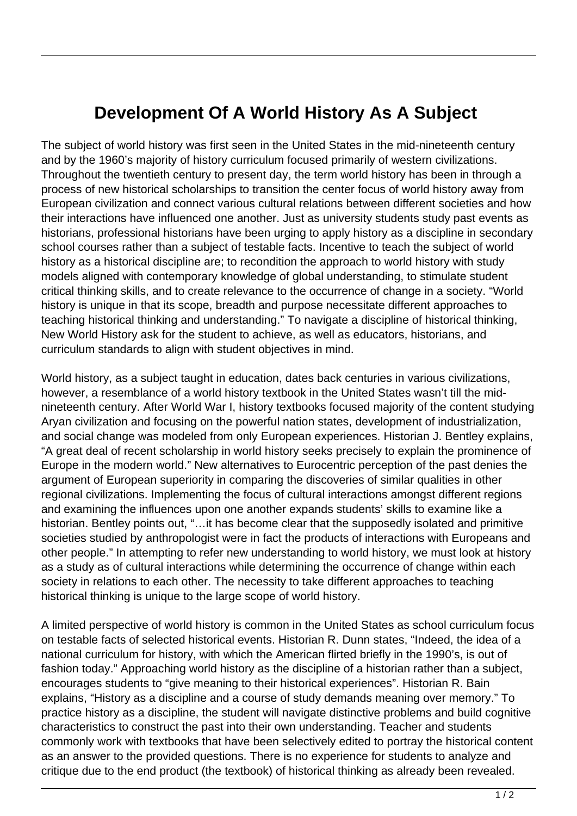## **Development Of A World History As A Subject**

The subject of world history was first seen in the United States in the mid-nineteenth century and by the 1960's majority of history curriculum focused primarily of western civilizations. Throughout the twentieth century to present day, the term world history has been in through a process of new historical scholarships to transition the center focus of world history away from European civilization and connect various cultural relations between different societies and how their interactions have influenced one another. Just as university students study past events as historians, professional historians have been urging to apply history as a discipline in secondary school courses rather than a subject of testable facts. Incentive to teach the subject of world history as a historical discipline are; to recondition the approach to world history with study models aligned with contemporary knowledge of global understanding, to stimulate student critical thinking skills, and to create relevance to the occurrence of change in a society. "World history is unique in that its scope, breadth and purpose necessitate different approaches to teaching historical thinking and understanding." To navigate a discipline of historical thinking, New World History ask for the student to achieve, as well as educators, historians, and curriculum standards to align with student objectives in mind.

World history, as a subject taught in education, dates back centuries in various civilizations, however, a resemblance of a world history textbook in the United States wasn't till the midnineteenth century. After World War I, history textbooks focused majority of the content studying Aryan civilization and focusing on the powerful nation states, development of industrialization, and social change was modeled from only European experiences. Historian J. Bentley explains, "A great deal of recent scholarship in world history seeks precisely to explain the prominence of Europe in the modern world." New alternatives to Eurocentric perception of the past denies the argument of European superiority in comparing the discoveries of similar qualities in other regional civilizations. Implementing the focus of cultural interactions amongst different regions and examining the influences upon one another expands students' skills to examine like a historian. Bentley points out, "...it has become clear that the supposedly isolated and primitive societies studied by anthropologist were in fact the products of interactions with Europeans and other people." In attempting to refer new understanding to world history, we must look at history as a study as of cultural interactions while determining the occurrence of change within each society in relations to each other. The necessity to take different approaches to teaching historical thinking is unique to the large scope of world history.

A limited perspective of world history is common in the United States as school curriculum focus on testable facts of selected historical events. Historian R. Dunn states, "Indeed, the idea of a national curriculum for history, with which the American flirted briefly in the 1990's, is out of fashion today." Approaching world history as the discipline of a historian rather than a subject, encourages students to "give meaning to their historical experiences". Historian R. Bain explains, "History as a discipline and a course of study demands meaning over memory." To practice history as a discipline, the student will navigate distinctive problems and build cognitive characteristics to construct the past into their own understanding. Teacher and students commonly work with textbooks that have been selectively edited to portray the historical content as an answer to the provided questions. There is no experience for students to analyze and critique due to the end product (the textbook) of historical thinking as already been revealed.